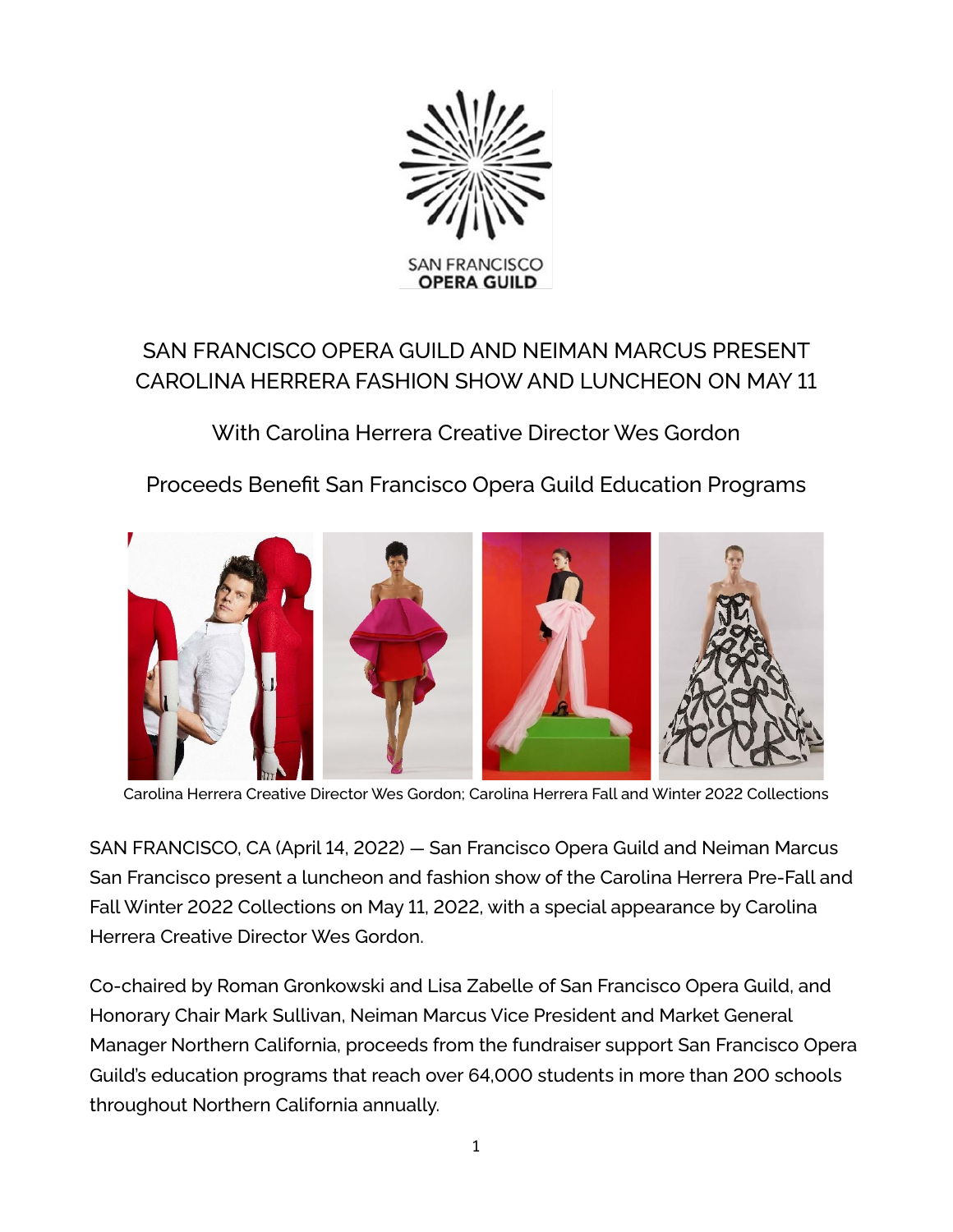

## SAN FRANCISCO OPERA GUILD AND NEIMAN MARCUS PRESENT CAROLINA HERRERA FASHION SHOW AND LUNCHEON ON MAY 11

## With Carolina Herrera Creative Director Wes Gordon

Proceeds Benefit San Francisco Opera Guild Education Programs



Carolina Herrera Creative Director Wes Gordon; Carolina Herrera Fall and Winter 2022 Collections

SAN FRANCISCO, CA (April 14, 2022) — San Francisco Opera Guild and Neiman Marcus San Francisco present a luncheon and fashion show of the Carolina Herrera Pre-Fall and Fall Winter 2022 Collections on May 11, 2022, with a special appearance by Carolina Herrera Creative Director Wes Gordon.

Co-chaired by Roman Gronkowski and Lisa Zabelle of San Francisco Opera Guild, and Honorary Chair Mark Sullivan, Neiman Marcus Vice President and Market General Manager Northern California, proceeds from the fundraiser support San Francisco Opera Guild's education programs that reach over 64,000 students in more than 200 schools throughout Northern California annually.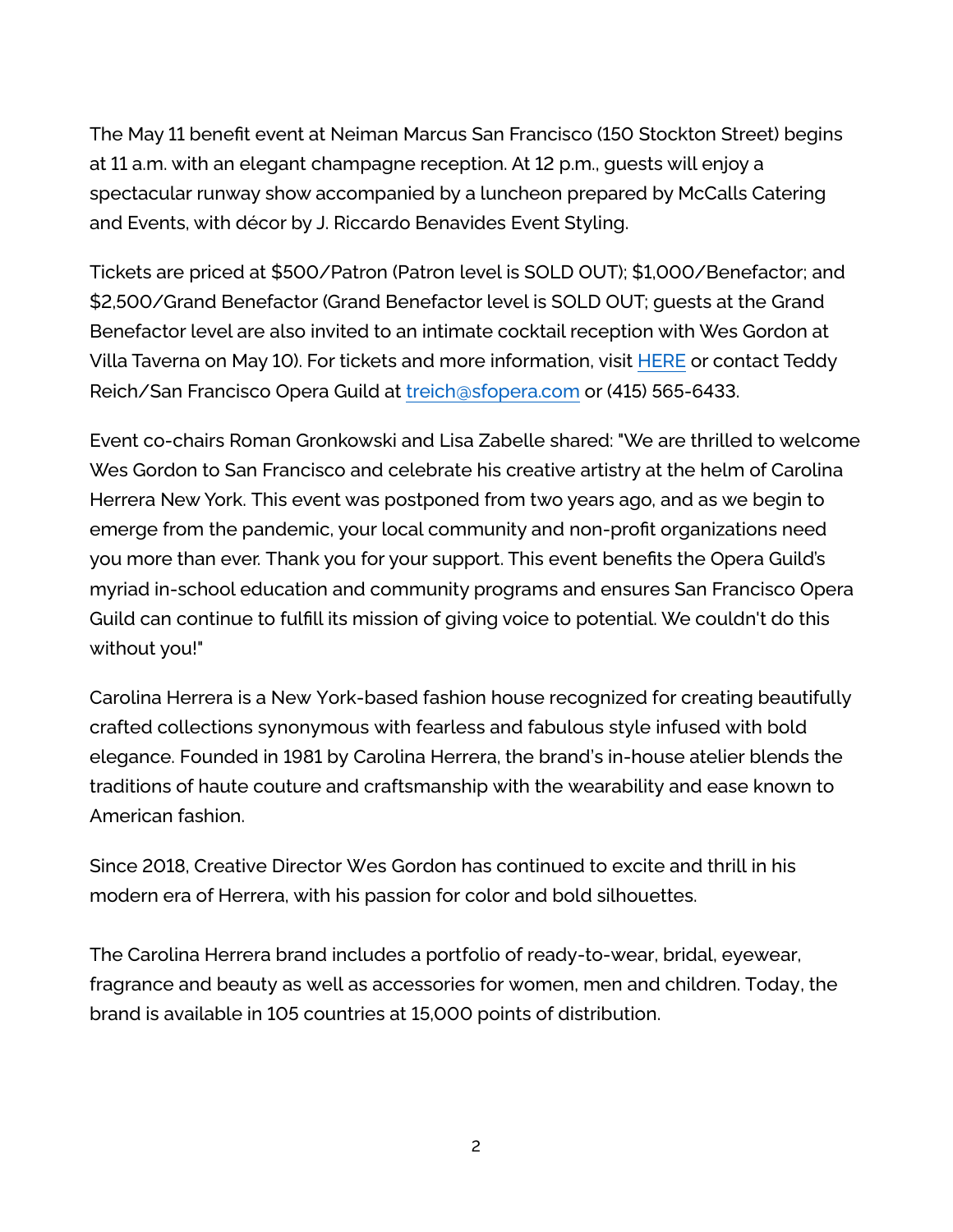The May 11 benefit event at Neiman Marcus San Francisco (150 Stockton Street) begins at 11 a.m. with an elegant champagne reception. At 12 p.m., guests will enjoy a spectacular runway show accompanied by a luncheon prepared by McCalls Catering and Events, with décor by J. Riccardo Benavides Event Styling.

Tickets are priced at \$500/Patron (Patron level is SOLD OUT); \$1,000/Benefactor; and \$2,500/Grand Benefactor (Grand Benefactor level is SOLD OUT; guests at the Grand Benefactor level are also invited to an intimate cocktail reception with Wes Gordon at Villa Taverna on May 10). For tickets and more information, visit [HERE](https://sfopera.ejoinme.org/MyEvents/Spring2022FashionShowAuction/tabid/1279761/Default.aspx) or contact Teddy Reich/San Francisco Opera Guild at [treich@sfopera.com](mailto:treich@sfopera.com) or (415) 565-6433.

Event co-chairs Roman Gronkowski and Lisa Zabelle shared: "We are thrilled to welcome Wes Gordon to San Francisco and celebrate his creative artistry at the helm of Carolina Herrera New York. This event was postponed from two years ago, and as we begin to emerge from the pandemic, your local community and non-profit organizations need you more than ever. Thank you for your support. This event benefits the Opera Guild's myriad in-school education and community programs and ensures San Francisco Opera Guild can continue to fulfill its mission of giving voice to potential. We couldn't do this without you!"

Carolina Herrera is a New York-based fashion house recognized for creating beautifully crafted collections synonymous with fearless and fabulous style infused with bold elegance. Founded in 1981 by Carolina Herrera, the brand's in-house atelier blends the traditions of haute couture and craftsmanship with the wearability and ease known to American fashion.

Since 2018, Creative Director Wes Gordon has continued to excite and thrill in his modern era of Herrera, with his passion for color and bold silhouettes.

The Carolina Herrera brand includes a portfolio of ready-to-wear, bridal, eyewear, fragrance and beauty as well as accessories for women, men and children. Today, the brand is available in 105 countries at 15,000 points of distribution.

2